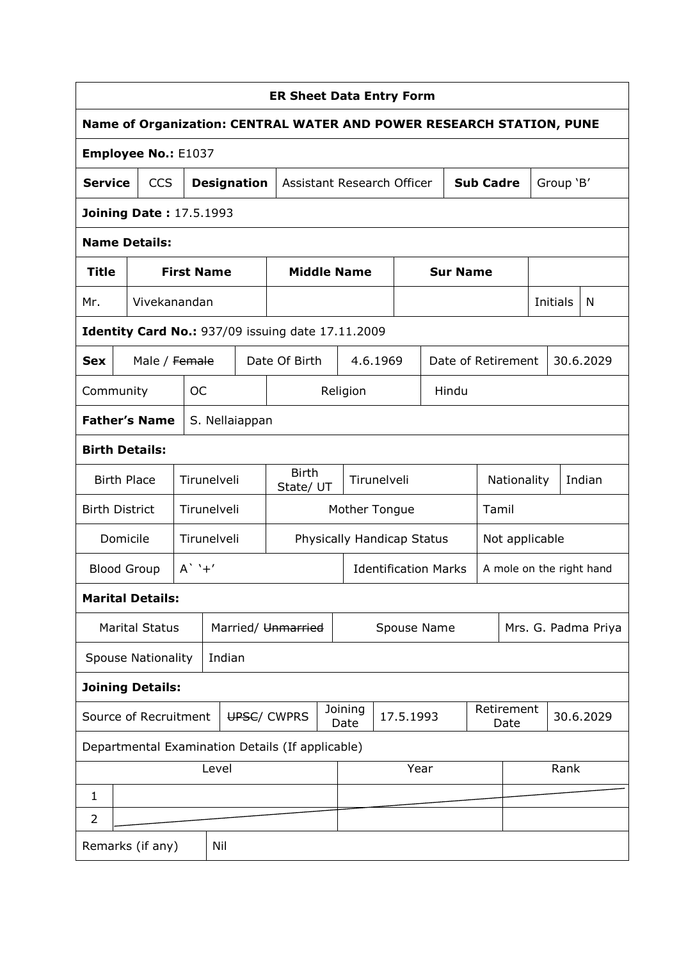|                                                                                             | <b>ER Sheet Data Entry Form</b>        |                                |                   |                    |  |                                                  |  |                            |             |                          |             |                  |       |                    |  |           |                     |
|---------------------------------------------------------------------------------------------|----------------------------------------|--------------------------------|-------------------|--------------------|--|--------------------------------------------------|--|----------------------------|-------------|--------------------------|-------------|------------------|-------|--------------------|--|-----------|---------------------|
| Name of Organization: CENTRAL WATER AND POWER RESEARCH STATION, PUNE                        |                                        |                                |                   |                    |  |                                                  |  |                            |             |                          |             |                  |       |                    |  |           |                     |
|                                                                                             | Employee No.: E1037                    |                                |                   |                    |  |                                                  |  |                            |             |                          |             |                  |       |                    |  |           |                     |
| <b>Service</b>                                                                              |                                        | <b>CCS</b>                     |                   | <b>Designation</b> |  | Assistant Research Officer                       |  |                            |             |                          |             | <b>Sub Cadre</b> |       |                    |  | Group 'B' |                     |
|                                                                                             |                                        | <b>Joining Date: 17.5.1993</b> |                   |                    |  |                                                  |  |                            |             |                          |             |                  |       |                    |  |           |                     |
|                                                                                             |                                        | <b>Name Details:</b>           |                   |                    |  |                                                  |  |                            |             |                          |             |                  |       |                    |  |           |                     |
| Title                                                                                       |                                        |                                | <b>First Name</b> |                    |  |                                                  |  | <b>Middle Name</b>         |             |                          |             | <b>Sur Name</b>  |       |                    |  |           |                     |
| Mr.                                                                                         |                                        | Vivekanandan                   |                   |                    |  |                                                  |  |                            |             |                          |             |                  |       |                    |  | Initials  | N                   |
| <b>Identity Card No.: 937/09 issuing date 17.11.2009</b>                                    |                                        |                                |                   |                    |  |                                                  |  |                            |             |                          |             |                  |       |                    |  |           |                     |
| 30.6.2029<br>Date Of Birth<br>Date of Retirement<br>Male / Female<br>4.6.1969<br><b>Sex</b> |                                        |                                |                   |                    |  |                                                  |  |                            |             |                          |             |                  |       |                    |  |           |                     |
| <b>OC</b><br>Religion<br>Hindu<br>Community                                                 |                                        |                                |                   |                    |  |                                                  |  |                            |             |                          |             |                  |       |                    |  |           |                     |
|                                                                                             | <b>Father's Name</b><br>S. Nellaiappan |                                |                   |                    |  |                                                  |  |                            |             |                          |             |                  |       |                    |  |           |                     |
|                                                                                             | <b>Birth Details:</b>                  |                                |                   |                    |  |                                                  |  |                            |             |                          |             |                  |       |                    |  |           |                     |
|                                                                                             |                                        | <b>Birth Place</b>             |                   | Tirunelveli        |  | <b>Birth</b><br>State/ UT                        |  |                            | Tirunelveli |                          |             |                  |       | Nationality        |  |           | Indian              |
| <b>Birth District</b>                                                                       |                                        |                                |                   | Tirunelveli        |  |                                                  |  | Mother Tongue              |             |                          |             |                  | Tamil |                    |  |           |                     |
|                                                                                             | Domicile                               |                                |                   | Tirunelveli        |  |                                                  |  | Physically Handicap Status |             |                          |             |                  |       | Not applicable     |  |           |                     |
|                                                                                             |                                        | <b>Blood Group</b>             | $A'$ '+'          |                    |  | <b>Identification Marks</b>                      |  |                            |             | A mole on the right hand |             |                  |       |                    |  |           |                     |
|                                                                                             |                                        | <b>Marital Details:</b>        |                   |                    |  |                                                  |  |                            |             |                          |             |                  |       |                    |  |           |                     |
|                                                                                             |                                        | <b>Marital Status</b>          |                   |                    |  | Married/ Unmarried                               |  |                            |             |                          | Spouse Name |                  |       |                    |  |           | Mrs. G. Padma Priya |
|                                                                                             |                                        | <b>Spouse Nationality</b>      |                   | Indian             |  |                                                  |  |                            |             |                          |             |                  |       |                    |  |           |                     |
|                                                                                             |                                        | <b>Joining Details:</b>        |                   |                    |  |                                                  |  |                            |             |                          |             |                  |       |                    |  |           |                     |
|                                                                                             |                                        | Source of Recruitment          |                   |                    |  | UPSC/ CWPRS                                      |  | Joining<br>Date            |             | 17.5.1993                |             |                  |       | Retirement<br>Date |  |           | 30.6.2029           |
|                                                                                             |                                        |                                |                   |                    |  | Departmental Examination Details (If applicable) |  |                            |             |                          |             |                  |       |                    |  |           |                     |
|                                                                                             |                                        |                                |                   | Level              |  |                                                  |  |                            |             | Year                     |             |                  |       |                    |  | Rank      |                     |
| 1                                                                                           |                                        |                                |                   |                    |  |                                                  |  |                            |             |                          |             |                  |       |                    |  |           |                     |
| 2                                                                                           |                                        |                                |                   |                    |  |                                                  |  |                            |             |                          |             |                  |       |                    |  |           |                     |
|                                                                                             |                                        | Remarks (if any)               |                   | Nil                |  |                                                  |  |                            |             |                          |             |                  |       |                    |  |           |                     |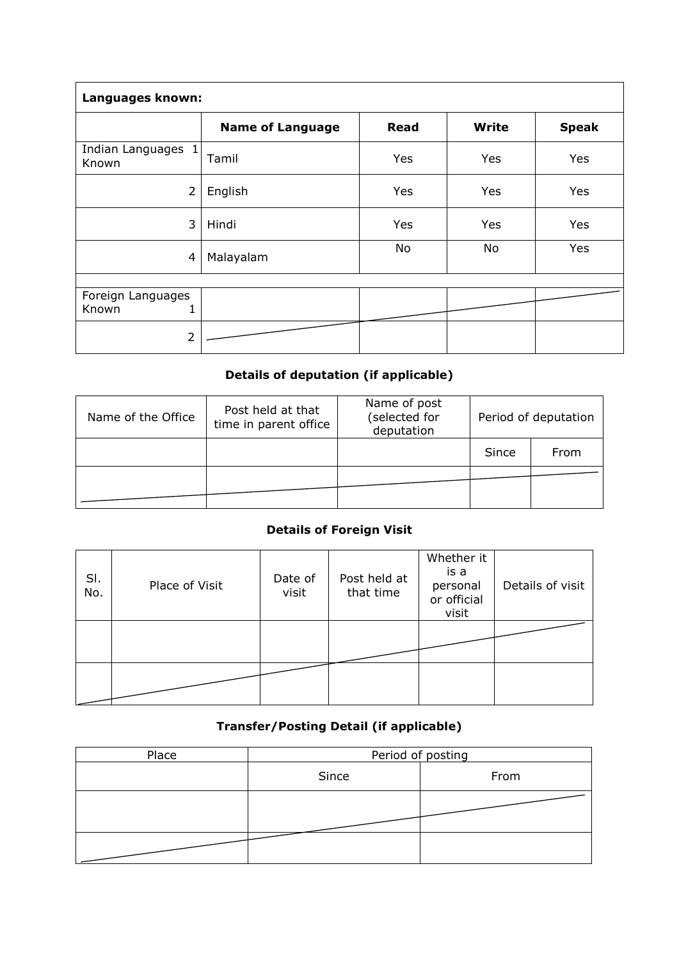| Languages known:                |                         |             |              |              |  |  |  |  |  |  |  |
|---------------------------------|-------------------------|-------------|--------------|--------------|--|--|--|--|--|--|--|
|                                 | <b>Name of Language</b> | <b>Read</b> | <b>Write</b> | <b>Speak</b> |  |  |  |  |  |  |  |
| Indian Languages 1<br>Known     | Tamil                   | Yes         | Yes          | Yes          |  |  |  |  |  |  |  |
| $\overline{2}$                  | English                 | Yes         | Yes          | Yes          |  |  |  |  |  |  |  |
| 3                               | Hindi                   | Yes         | Yes          | Yes          |  |  |  |  |  |  |  |
| 4                               | Malayalam               | No          | No           | Yes          |  |  |  |  |  |  |  |
|                                 |                         |             |              |              |  |  |  |  |  |  |  |
| Foreign Languages<br>Known<br>1 |                         |             |              |              |  |  |  |  |  |  |  |
| 2                               |                         |             |              |              |  |  |  |  |  |  |  |

# Details of deputation (if applicable)

| Name of the Office | Post held at that<br>time in parent office | Name of post<br>(selected for<br>deputation | Period of deputation |      |  |  |
|--------------------|--------------------------------------------|---------------------------------------------|----------------------|------|--|--|
|                    |                                            |                                             | Since                | From |  |  |
|                    |                                            |                                             |                      |      |  |  |

#### Details of Foreign Visit

| SI.<br>No. | Place of Visit | Date of<br>visit | Post held at<br>that time | Whether it<br>is a<br>personal<br>or official<br>visit | Details of visit |
|------------|----------------|------------------|---------------------------|--------------------------------------------------------|------------------|
|            |                |                  |                           |                                                        |                  |
|            |                |                  |                           |                                                        |                  |

#### Transfer/Posting Detail (if applicable)

| Place | Period of posting |      |  |  |  |  |  |
|-------|-------------------|------|--|--|--|--|--|
|       | Since             | From |  |  |  |  |  |
|       |                   |      |  |  |  |  |  |
|       |                   |      |  |  |  |  |  |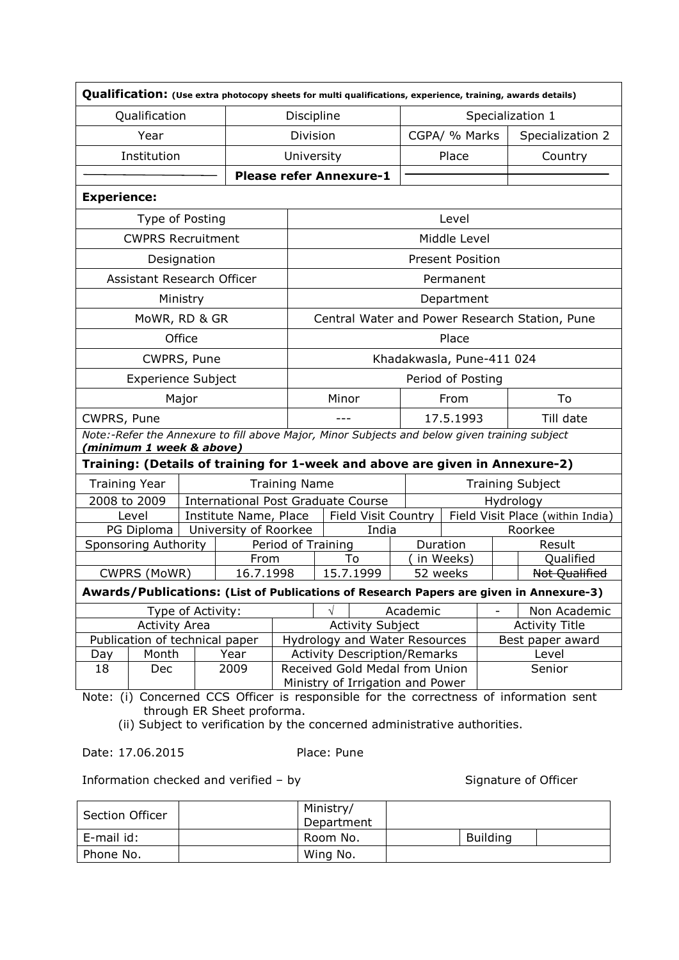|                    |                                                                                                                                                             |                   |                       |                      | Qualification: (Use extra photocopy sheets for multi qualifications, experience, training, awards details) |  |           |                         |                          |                                                                                        |  |  |
|--------------------|-------------------------------------------------------------------------------------------------------------------------------------------------------------|-------------------|-----------------------|----------------------|------------------------------------------------------------------------------------------------------------|--|-----------|-------------------------|--------------------------|----------------------------------------------------------------------------------------|--|--|
|                    | Qualification                                                                                                                                               |                   |                       | Discipline           |                                                                                                            |  |           |                         |                          | Specialization 1                                                                       |  |  |
|                    | Year                                                                                                                                                        |                   |                       | Division             |                                                                                                            |  |           | CGPA/ % Marks           |                          | Specialization 2                                                                       |  |  |
|                    | Institution                                                                                                                                                 |                   |                       | University           |                                                                                                            |  |           | Place                   |                          | Country                                                                                |  |  |
|                    |                                                                                                                                                             |                   |                       |                      | <b>Please refer Annexure-1</b>                                                                             |  |           |                         |                          |                                                                                        |  |  |
| <b>Experience:</b> |                                                                                                                                                             |                   |                       |                      |                                                                                                            |  |           |                         |                          |                                                                                        |  |  |
|                    | Type of Posting                                                                                                                                             |                   |                       |                      | Level                                                                                                      |  |           |                         |                          |                                                                                        |  |  |
|                    | <b>CWPRS Recruitment</b>                                                                                                                                    |                   |                       |                      | Middle Level                                                                                               |  |           |                         |                          |                                                                                        |  |  |
|                    |                                                                                                                                                             | Designation       |                       |                      |                                                                                                            |  |           | <b>Present Position</b> |                          |                                                                                        |  |  |
|                    | Assistant Research Officer                                                                                                                                  |                   |                       |                      |                                                                                                            |  |           | Permanent               |                          |                                                                                        |  |  |
|                    |                                                                                                                                                             | Ministry          |                       |                      |                                                                                                            |  |           | Department              |                          |                                                                                        |  |  |
|                    | MoWR, RD & GR                                                                                                                                               |                   |                       |                      |                                                                                                            |  |           |                         |                          | Central Water and Power Research Station, Pune                                         |  |  |
|                    |                                                                                                                                                             | Office            |                       |                      |                                                                                                            |  |           | Place                   |                          |                                                                                        |  |  |
|                    | CWPRS, Pune                                                                                                                                                 |                   |                       |                      | Khadakwasla, Pune-411 024                                                                                  |  |           |                         |                          |                                                                                        |  |  |
|                    | <b>Experience Subject</b>                                                                                                                                   |                   |                       |                      |                                                                                                            |  |           | Period of Posting       |                          |                                                                                        |  |  |
|                    |                                                                                                                                                             | Major             |                       |                      | Minor                                                                                                      |  |           | From                    |                          | To                                                                                     |  |  |
| CWPRS, Pune        |                                                                                                                                                             |                   |                       |                      |                                                                                                            |  |           | 17.5.1993               |                          | Till date                                                                              |  |  |
|                    | (minimum 1 week & above)                                                                                                                                    |                   |                       |                      | Note:-Refer the Annexure to fill above Major, Minor Subjects and below given training subject              |  |           |                         |                          |                                                                                        |  |  |
|                    |                                                                                                                                                             |                   |                       |                      | Training: (Details of training for 1-week and above are given in Annexure-2)                               |  |           |                         |                          |                                                                                        |  |  |
|                    | <b>Training Year</b>                                                                                                                                        |                   |                       | <b>Training Name</b> |                                                                                                            |  |           |                         |                          | <b>Training Subject</b>                                                                |  |  |
|                    | 2008 to 2009                                                                                                                                                |                   |                       |                      | <b>International Post Graduate Course</b>                                                                  |  | Hydrology |                         |                          |                                                                                        |  |  |
|                    | Level                                                                                                                                                       |                   | Institute Name, Place |                      | Field Visit Country                                                                                        |  |           |                         |                          | Field Visit Place (within India)                                                       |  |  |
|                    | PG Diploma                                                                                                                                                  |                   | University of Roorkee |                      | India                                                                                                      |  |           |                         |                          | Roorkee                                                                                |  |  |
|                    | <b>Sponsoring Authority</b>                                                                                                                                 |                   |                       | Period of Training   |                                                                                                            |  | Duration  |                         |                          | Result                                                                                 |  |  |
|                    | CWPRS (MoWR)                                                                                                                                                |                   | From<br>16.7.1998     |                      | To<br>15.7.1999                                                                                            |  | 52 weeks  | in Weeks)               |                          | Qualified<br>Not Qualified                                                             |  |  |
|                    |                                                                                                                                                             |                   |                       |                      |                                                                                                            |  |           |                         |                          | Awards/Publications: (List of Publications of Research Papers are given in Annexure-3) |  |  |
|                    |                                                                                                                                                             |                   |                       |                      |                                                                                                            |  |           |                         |                          |                                                                                        |  |  |
|                    | <b>Activity Area</b>                                                                                                                                        | Type of Activity: |                       |                      | <b>Activity Subject</b>                                                                                    |  | Academic  |                         | $\overline{\phantom{0}}$ | Non Academic                                                                           |  |  |
|                    | Publication of technical paper                                                                                                                              |                   |                       |                      | Hydrology and Water Resources                                                                              |  |           |                         |                          | <b>Activity Title</b><br>Best paper award                                              |  |  |
| Day                | Month                                                                                                                                                       |                   | Year                  |                      | <b>Activity Description/Remarks</b>                                                                        |  |           |                         |                          | Level                                                                                  |  |  |
| 18                 | Dec                                                                                                                                                         |                   | 2009                  |                      | Received Gold Medal from Union                                                                             |  |           |                         |                          | Senior                                                                                 |  |  |
|                    |                                                                                                                                                             |                   |                       |                      |                                                                                                            |  |           |                         |                          |                                                                                        |  |  |
|                    | Ministry of Irrigation and Power<br>Concerned CCS Officer is responsible for the correctness of information sent<br>Note: (i)<br>through ER Sheet proforma. |                   |                       |                      |                                                                                                            |  |           |                         |                          |                                                                                        |  |  |

(ii) Subject to verification by the concerned administrative authorities.

Date: 17.06.2015 Place: Pune

Information checked and verified – by Signature of Officer

| <b>Section Officer</b> | Ministry/<br>Department |                 |  |
|------------------------|-------------------------|-----------------|--|
| E-mail id:             | Room No.                | <b>Building</b> |  |
| Phone No.              | Wing No.                |                 |  |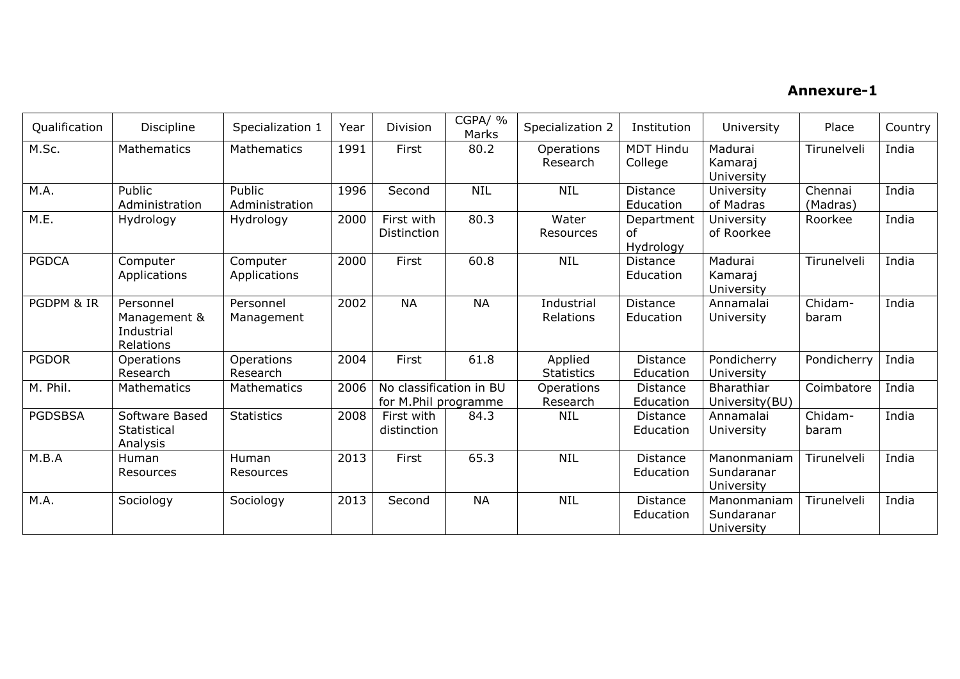### Annexure-1

| Qualification  | Discipline                                           | Specialization 1         | Year | Division                                        | CGPA/ %<br>Marks | Specialization 2             | Institution                   | University                              | Place               | Country |
|----------------|------------------------------------------------------|--------------------------|------|-------------------------------------------------|------------------|------------------------------|-------------------------------|-----------------------------------------|---------------------|---------|
| M.Sc.          | Mathematics                                          | Mathematics              | 1991 | First                                           | 80.2             | Operations<br>Research       | <b>MDT Hindu</b><br>College   | Madurai<br>Kamaraj<br>University        | Tirunelveli         | India   |
| M.A.           | Public<br>Administration                             | Public<br>Administration | 1996 | Second                                          | <b>NIL</b>       | <b>NIL</b>                   | <b>Distance</b><br>Education  | University<br>of Madras                 | Chennai<br>(Madras) | India   |
| M.E.           | Hydrology                                            | Hydrology                | 2000 | First with<br>Distinction                       | 80.3             | Water<br>Resources           | Department<br>of<br>Hydrology | University<br>of Roorkee                | Roorkee             | India   |
| <b>PGDCA</b>   | Computer<br>Applications                             | Computer<br>Applications | 2000 | First                                           | 60.8             | <b>NIL</b>                   | <b>Distance</b><br>Education  | Madurai<br>Kamaraj<br>University        | Tirunelveli         | India   |
| PGDPM & IR     | Personnel<br>Management &<br>Industrial<br>Relations | Personnel<br>Management  | 2002 | <b>NA</b>                                       | <b>NA</b>        | Industrial<br>Relations      | <b>Distance</b><br>Education  | Annamalai<br>University                 | Chidam-<br>baram    | India   |
| <b>PGDOR</b>   | Operations<br>Research                               | Operations<br>Research   | 2004 | First                                           | 61.8             | Applied<br><b>Statistics</b> | <b>Distance</b><br>Education  | Pondicherry<br>University               | Pondicherry         | India   |
| M. Phil.       | Mathematics                                          | Mathematics              | 2006 | No classification in BU<br>for M.Phil programme |                  | Operations<br>Research       | <b>Distance</b><br>Education  | <b>Bharathiar</b><br>University(BU)     | Coimbatore          | India   |
| <b>PGDSBSA</b> | Software Based<br>Statistical<br>Analysis            | <b>Statistics</b>        | 2008 | First with<br>distinction                       | 84.3             | <b>NIL</b>                   | <b>Distance</b><br>Education  | Annamalai<br>University                 | Chidam-<br>baram    | India   |
| M.B.A          | Human<br>Resources                                   | Human<br>Resources       | 2013 | First                                           | 65.3             | <b>NIL</b>                   | <b>Distance</b><br>Education  | Manonmaniam<br>Sundaranar<br>University | Tirunelveli         | India   |
| M.A.           | Sociology                                            | Sociology                | 2013 | Second                                          | <b>NA</b>        | <b>NIL</b>                   | <b>Distance</b><br>Education  | Manonmaniam<br>Sundaranar<br>University | Tirunelveli         | India   |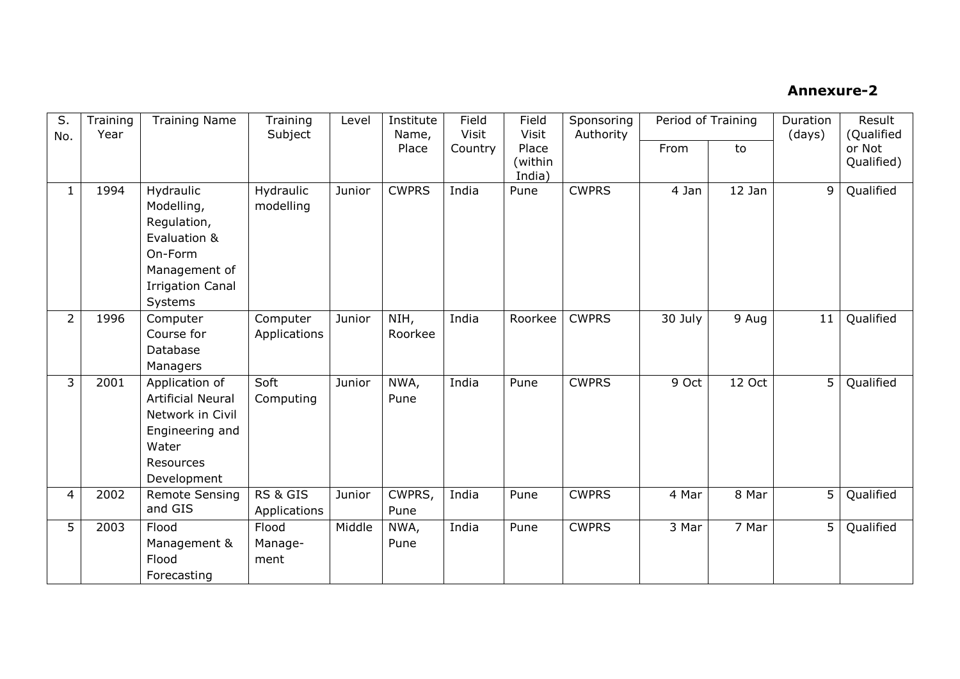## Annexure-2

| S.<br>Training<br>Year<br>No. |      | <b>Training Name</b>                                                                                                     | Training<br>Level<br>Subject |        | Institute<br>Name, | Field<br><b>Visit</b> | Field<br><b>Visit</b>      | Sponsoring<br>Authority | Period of Training |          | Duration<br>(days) | Result<br>(Qualified |
|-------------------------------|------|--------------------------------------------------------------------------------------------------------------------------|------------------------------|--------|--------------------|-----------------------|----------------------------|-------------------------|--------------------|----------|--------------------|----------------------|
|                               |      |                                                                                                                          |                              |        | Place              | Country               | Place<br>(within<br>India) |                         | From               | to       |                    | or Not<br>Qualified) |
| $\mathbf{1}$                  | 1994 | Hydraulic<br>Modelling,<br>Regulation,<br>Evaluation &<br>On-Form<br>Management of<br><b>Irrigation Canal</b><br>Systems | Hydraulic<br>modelling       | Junior | <b>CWPRS</b>       | India                 | Pune                       | <b>CWPRS</b>            | 4 Jan              | $12$ Jan | 9                  | Qualified            |
| $\overline{2}$                | 1996 | Computer<br>Course for<br>Database<br>Managers                                                                           | Computer<br>Applications     | Junior | NIH,<br>Roorkee    | India                 | Roorkee                    | <b>CWPRS</b>            | 30 July            | 9 Aug    | 11                 | Qualified            |
| 3                             | 2001 | Application of<br><b>Artificial Neural</b><br>Network in Civil<br>Engineering and<br>Water<br>Resources<br>Development   | Soft<br>Computing            | Junior | NWA,<br>Pune       | India                 | Pune                       | <b>CWPRS</b>            | 9 Oct              | 12 Oct   | 5                  | Qualified            |
| $\overline{4}$                | 2002 | <b>Remote Sensing</b><br>and GIS                                                                                         | RS & GIS<br>Applications     | Junior | CWPRS,<br>Pune     | India                 | Pune                       | <b>CWPRS</b>            | 4 Mar              | 8 Mar    | 5                  | Qualified            |
| 5                             | 2003 | Flood<br>Management &<br>Flood<br>Forecasting                                                                            | Flood<br>Manage-<br>ment     | Middle | NWA,<br>Pune       | India                 | Pune                       | <b>CWPRS</b>            | 3 Mar              | 7 Mar    | 5                  | Qualified            |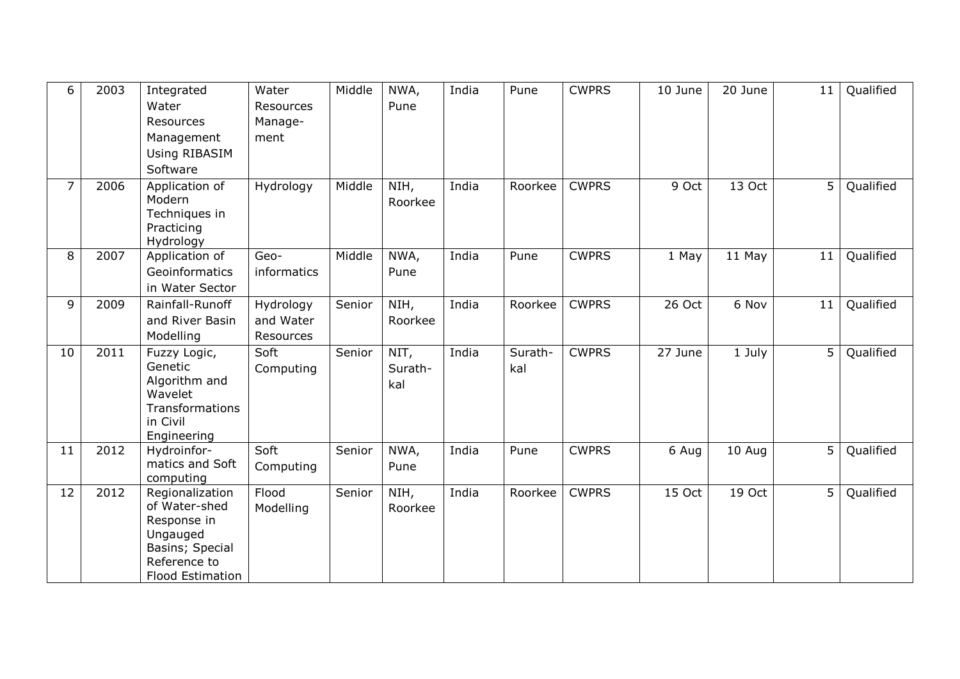| 6              | 2003 | Integrated<br>Water<br>Resources<br>Management<br>Using RIBASIM<br>Software                                        | Water<br>Resources<br>Manage-<br>ment | Middle | NWA,<br>Pune           | India | Pune           | <b>CWPRS</b> | 10 June | 20 June | 11 | Qualified |
|----------------|------|--------------------------------------------------------------------------------------------------------------------|---------------------------------------|--------|------------------------|-------|----------------|--------------|---------|---------|----|-----------|
| $\overline{7}$ | 2006 | Application of<br>Modern<br>Techniques in<br>Practicing<br>Hydrology                                               | Hydrology                             | Middle | NIH,<br>Roorkee        | India | Roorkee        | <b>CWPRS</b> | 9 Oct   | 13 Oct  | 5  | Qualified |
| 8              | 2007 | Application of<br>Geoinformatics<br>in Water Sector                                                                | Geo-<br><i>informatics</i>            | Middle | NWA,<br>Pune           | India | Pune           | <b>CWPRS</b> | 1 May   | 11 May  | 11 | Qualified |
| 9              | 2009 | Rainfall-Runoff<br>and River Basin<br>Modelling                                                                    | Hydrology<br>and Water<br>Resources   | Senior | NIH,<br>Roorkee        | India | Roorkee        | <b>CWPRS</b> | 26 Oct  | 6 Nov   | 11 | Qualified |
| 10             | 2011 | Fuzzy Logic,<br>Genetic<br>Algorithm and<br>Wavelet<br>Transformations<br>in Civil<br>Engineering                  | Soft<br>Computing                     | Senior | NIT,<br>Surath-<br>kal | India | Surath-<br>kal | <b>CWPRS</b> | 27 June | 1 July  | 5  | Qualified |
| 11             | 2012 | Hydroinfor-<br>matics and Soft<br>computing                                                                        | Soft<br>Computing                     | Senior | NWA,<br>Pune           | India | Pune           | <b>CWPRS</b> | 6 Aug   | 10 Aug  | 5  | Qualified |
| 12             | 2012 | Regionalization<br>of Water-shed<br>Response in<br>Ungauged<br>Basins; Special<br>Reference to<br>Flood Estimation | Flood<br>Modelling                    | Senior | NIH,<br>Roorkee        | India | Roorkee        | <b>CWPRS</b> | 15 Oct  | 19 Oct  | 5  | Qualified |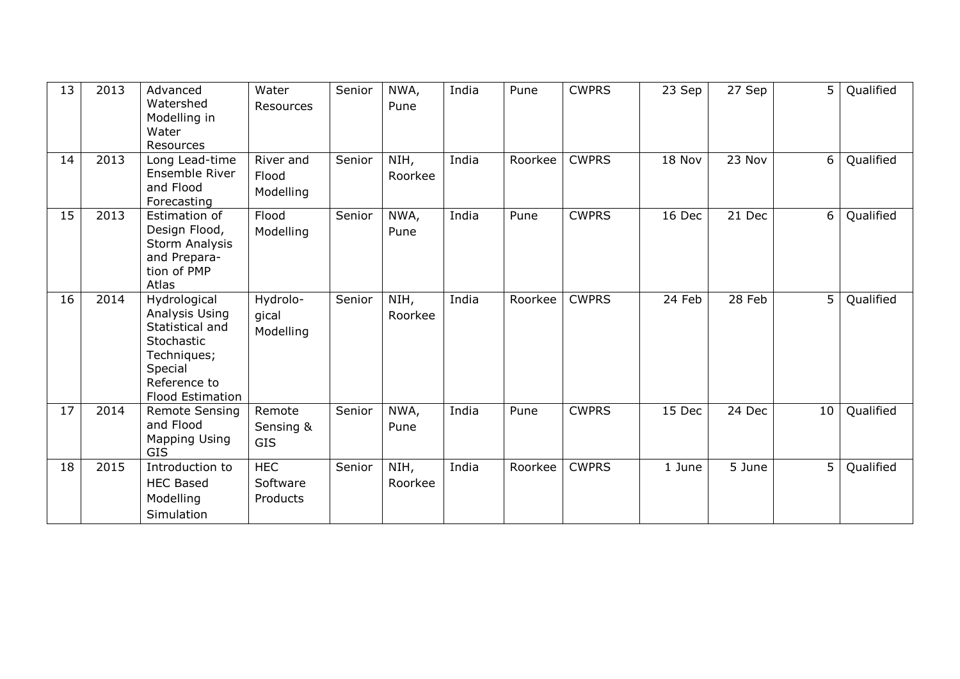| 13 | 2013 | Advanced<br>Watershed<br>Modelling in<br>Water<br>Resources                                                                          | Water<br>Resources                 | Senior | NWA,<br>Pune    | India | Pune    | <b>CWPRS</b> | 23 Sep | 27 Sep | 5  | Qualified |
|----|------|--------------------------------------------------------------------------------------------------------------------------------------|------------------------------------|--------|-----------------|-------|---------|--------------|--------|--------|----|-----------|
| 14 | 2013 | Long Lead-time<br>Ensemble River<br>and Flood<br>Forecasting                                                                         | River and<br>Flood<br>Modelling    | Senior | NIH,<br>Roorkee | India | Roorkee | <b>CWPRS</b> | 18 Nov | 23 Nov | 6  | Qualified |
| 15 | 2013 | Estimation of<br>Design Flood,<br>Storm Analysis<br>and Prepara-<br>tion of PMP<br>Atlas                                             | Flood<br>Modelling                 | Senior | NWA,<br>Pune    | India | Pune    | <b>CWPRS</b> | 16 Dec | 21 Dec | 6  | Qualified |
| 16 | 2014 | Hydrological<br>Analysis Using<br>Statistical and<br>Stochastic<br>Techniques;<br>Special<br>Reference to<br><b>Flood Estimation</b> | Hydrolo-<br>gical<br>Modelling     | Senior | NIH,<br>Roorkee | India | Roorkee | <b>CWPRS</b> | 24 Feb | 28 Feb | 5  | Qualified |
| 17 | 2014 | <b>Remote Sensing</b><br>and Flood<br><b>Mapping Using</b><br><b>GIS</b>                                                             | Remote<br>Sensing &<br><b>GIS</b>  | Senior | NWA,<br>Pune    | India | Pune    | <b>CWPRS</b> | 15 Dec | 24 Dec | 10 | Qualified |
| 18 | 2015 | Introduction to<br><b>HEC Based</b><br>Modelling<br>Simulation                                                                       | <b>HEC</b><br>Software<br>Products | Senior | NIH,<br>Roorkee | India | Roorkee | <b>CWPRS</b> | 1 June | 5 June | 5  | Qualified |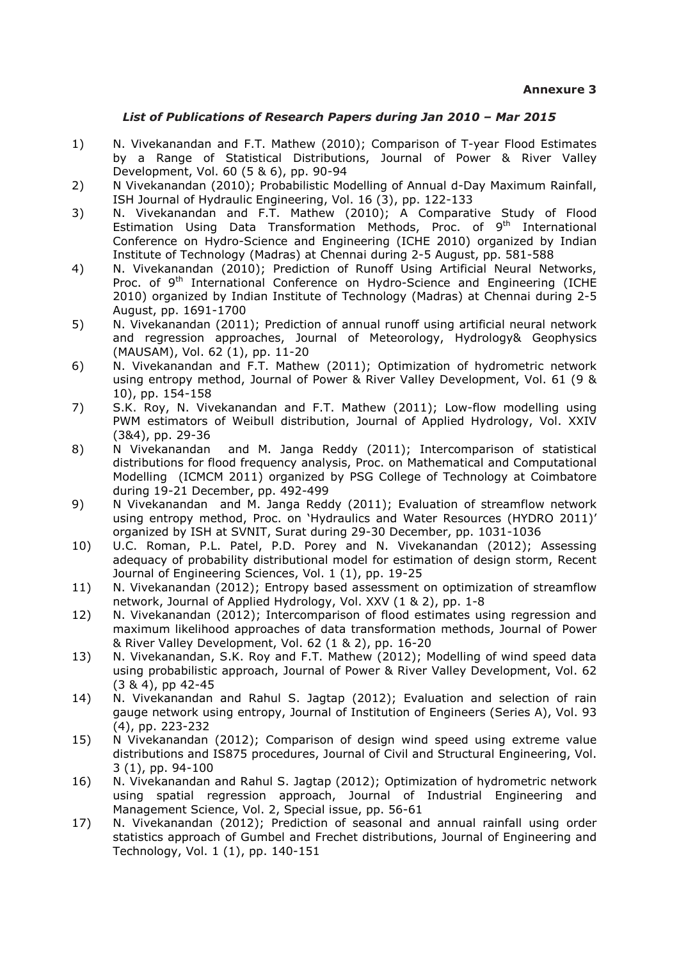#### *List of Publications of Research Papers during Jan 2010 – Mar 2015*

- 1) N. Vivekanandan and F.T. Mathew (2010); Comparison of T-year Flood Estimates by a Range of Statistical Distributions, Journal of Power & River Valley Development, Vol. 60 (5 & 6), pp. 90-94
- 2) N Vivekanandan (2010); Probabilistic Modelling of Annual d-Day Maximum Rainfall, ISH Journal of Hydraulic Engineering, Vol. 16 (3), pp. 122-133
- 3) N. Vivekanandan and F.T. Mathew (2010); A Comparative Study of Flood Estimation Using Data Transformation Methods, Proc. of 9<sup>th</sup> International Conference on Hydro-Science and Engineering (ICHE 2010) organized by Indian Institute of Technology (Madras) at Chennai during 2-5 August, pp. 581-588
- 4) N. Vivekanandan (2010); Prediction of Runoff Using Artificial Neural Networks, Proc. of 9<sup>th</sup> International Conference on Hydro-Science and Engineering (ICHE 2010) organized by Indian Institute of Technology (Madras) at Chennai during 2-5 August, pp. 1691-1700
- 5) N. Vivekanandan (2011); Prediction of annual runoff using artificial neural network and regression approaches, Journal of Meteorology, Hydrology& Geophysics (MAUSAM), Vol. 62 (1), pp. 11-20
- 6) N. Vivekanandan and F.T. Mathew (2011); Optimization of hydrometric network using entropy method, Journal of Power & River Valley Development, Vol. 61 (9 & 10), pp. 154-158
- 7) S.K. Roy, N. Vivekanandan and F.T. Mathew (2011); Low-flow modelling using PWM estimators of Weibull distribution, Journal of Applied Hydrology, Vol. XXIV (3&4), pp. 29-36
- 8) N Vivekanandan and M. Janga Reddy (2011); Intercomparison of statistical distributions for flood frequency analysis, Proc. on Mathematical and Computational Modelling (ICMCM 2011) organized by PSG College of Technology at Coimbatore during 19-21 December, pp. 492-499
- 9) N Vivekanandan and M. Janga Reddy (2011); Evaluation of streamflow network using entropy method, Proc. on 'Hydraulics and Water Resources (HYDRO 2011)' organized by ISH at SVNIT, Surat during 29-30 December, pp. 1031-1036
- 10) U.C. Roman, P.L. Patel, P.D. Porey and N. Vivekanandan (2012); Assessing adequacy of probability distributional model for estimation of design storm, Recent Journal of Engineering Sciences, Vol. 1 (1), pp. 19-25
- 11) N. Vivekanandan (2012); Entropy based assessment on optimization of streamflow network, Journal of Applied Hydrology, Vol. XXV (1 & 2), pp. 1-8
- 12) N. Vivekanandan (2012); Intercomparison of flood estimates using regression and maximum likelihood approaches of data transformation methods, Journal of Power & River Valley Development, Vol. 62 (1 & 2), pp. 16-20
- 13) N. Vivekanandan, S.K. Roy and F.T. Mathew (2012); Modelling of wind speed data using probabilistic approach, Journal of Power & River Valley Development, Vol. 62 (3 & 4), pp 42-45
- 14) N. Vivekanandan and Rahul S. Jagtap (2012); Evaluation and selection of rain gauge network using entropy, Journal of Institution of Engineers (Series A), Vol. 93 (4), pp. 223-232
- 15) N Vivekanandan (2012); Comparison of design wind speed using extreme value distributions and IS875 procedures, Journal of Civil and Structural Engineering, Vol. 3 (1), pp. 94-100
- 16) N. Vivekanandan and Rahul S. Jagtap (2012); Optimization of hydrometric network using spatial regression approach, Journal of Industrial Engineering and Management Science, Vol. 2, Special issue, pp. 56-61
- 17) N. Vivekanandan (2012); Prediction of seasonal and annual rainfall using order statistics approach of Gumbel and Frechet distributions, Journal of Engineering and Technology, Vol. 1 (1), pp. 140-151